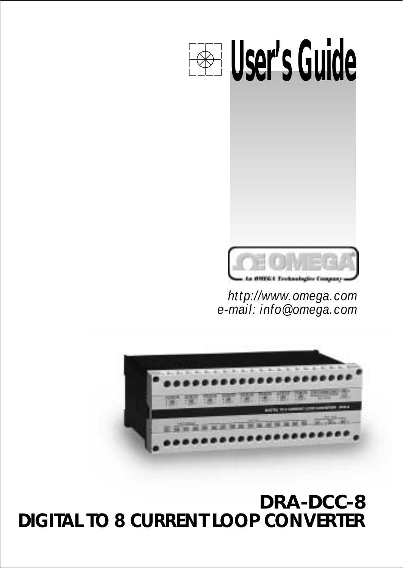# **DRA-DCC-8 DIGITAL TO 8 CURRENT LOOP CONVERTER**



*http://www.omega.com e-mail: info@omega.com*





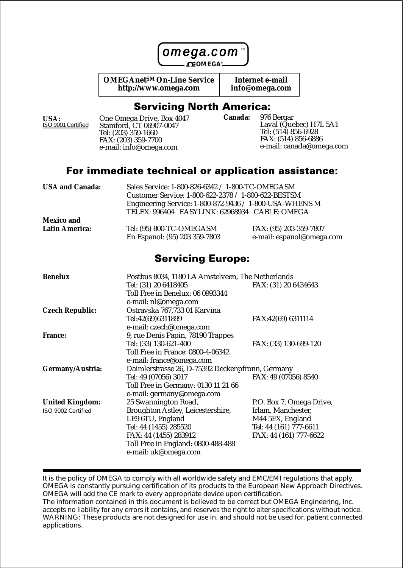

**OMEGAnetSM On-Line Service http://www.omega.com**

**Internet e-mail info@omega.com**

#### **Servicing North America:**

**USA:** ISO 9001 Certified

One Omega Drive, Box 4047 Stamford, CT 06907-0047 Tel: (203) 359-1660 FAX: (203) 359-7700 e-mail: info@omega.com

976 Bergar Laval (Quebec) H7L 5A1 Tel: (514) 856-6928 FAX: (514) 856-6886 e-mail: canada@omega.com **Canada:**

#### For immediate technical or application assistance:

| USA and Canada: | Sales Service: 1-800-826-6342 / 1-800-TC-OMEGASM        |                           |
|-----------------|---------------------------------------------------------|---------------------------|
|                 | Customer Service: 1-800-622-2378 / 1-800-622-BESTSM     |                           |
|                 | Engineering Service: 1-800-872-9436 / 1-800-USA-WHENS M |                           |
|                 | TELEX: 996404 EASYLINK: 62968934 CABLE: OMEGA           |                           |
| Mexico and      |                                                         |                           |
| Latin America:  | Tel: (95) 800-TC-OMEGASM                                | FAX: (95) 203-359-7807    |
|                 | En Espanol: (95) 203 359-7803                           | e-mail: espanol@omega.com |

#### **Servicing Europe:**

| Benelux            | Postbus 8034, 1180 LA Amstelveen, The Netherlands |                          |
|--------------------|---------------------------------------------------|--------------------------|
|                    | Tel: (31) 20 6418405                              | FAX: (31) 20 6434643     |
|                    | Toll Free in Benelux: 06 0993344                  |                          |
|                    | e-mail: nl@omega.com                              |                          |
| Czech Republic:    | Ostravska 767,733 01 Karvina                      |                          |
|                    | Tel:42(69)6311899                                 | FAX:42(69) 6311114       |
|                    | e-mail: czech@omega.com                           |                          |
| France:            | 9, rue Denis Papin, 78190 Trappes                 |                          |
|                    | Tel: (33) 130-621-400                             | FAX: (33) 130-699-120    |
|                    | Toll Free in France: 0800-4-06342                 |                          |
|                    | e-mail: france@omega.com                          |                          |
| Germany/Austria:   | Daimlerstrasse 26, D-75392 Deckenpfronn, Germany  |                          |
|                    | Tel: 49 (07056) 3017                              | FAX: 49 (07056) 8540     |
|                    | Toll Free in Germany: 0130 11 21 66               |                          |
|                    | e-mail: germany@omega.com                         |                          |
| United Kingdom:    | 25 Swannington Road,                              | P.O. Box 7, Omega Drive, |
| ISO 9002 Certified | Broughton Astley, Leicestershire,                 | Irlam, Manchester,       |
|                    | LE9 6TU, England                                  | M44 5EX, England         |
|                    | Tel: 44 (1455) 285520                             | Tel: 44 (161) 777-6611   |
|                    | FAX: 44 (1455) 283912                             | FAX: 44 (161) 777-6622   |
|                    | Toll Free in England: 0800-488-488                |                          |
|                    | e-mail: uk@omega.com                              |                          |

It is the policy of OMEGA to comply with all worldwide safety and EMC/EMI regulations that apply. OMEGA is constantly pursuing certification of its products to the European New Approach Directives. OMEGA will add the CE mark to every appropriate device upon certification.

The information contained in this document is believed to be correct but OMEGA Engineering, Inc. accepts no liability for any errors it contains, and reserves the right to alter specifications without notice. WARNING: These products are not designed for use in, and should not be used for, patient connected applications.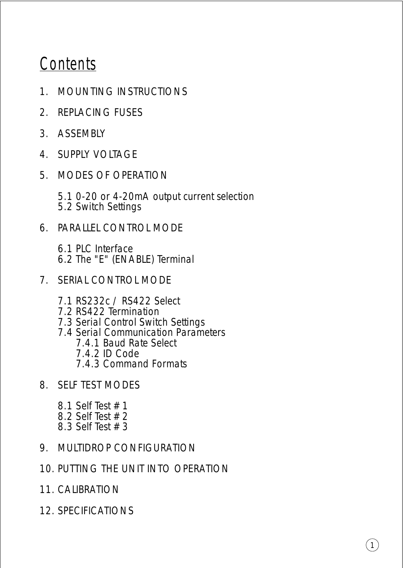# **Contents**

- 1. MOUNTING INSTRUCTIONS
- 2. REPLACING FUSES
- 3. ASSEMBLY
- 4. SUPPLY VOLTAGE
- 5. MODES OF OPERATION
	- 5.1 0-20 or 4-20mA output current selection 5.2 Switch Settings
- 6. PARALLEL CONTROL MODE
	- 6.1 PLC Interface 6.2 The "E" (ENABLE) Terminal
- 7. SERIAL CONTROL MODE
	- 7.1 RS232c / RS422 Select
	- 7.2 RS422 Termination
	- 7.3 Serial Control Switch Settings
	- 7.4 Serial Communication Parameters
		- 7.4.1 Baud Rate Select
		- 7.4.2 ID Code
		- 7.4.3 Command Formats
- 8. SELF TEST MODES
	- 8.1 Self Test # 1 8.2 Self Test # 2 8.3 Self Test # 3
- 9. MULTIDROP CONFIGURATION
- 10. PUTTING THE UNIT INTO OPERATION
- 11. CALIBRATION
- 12. SPECIFICATIONS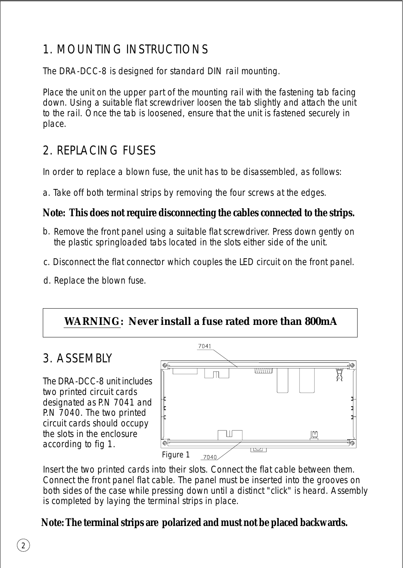## 1. MOUNTING INSTRUCTIONS

The DRA-DCC-8 is designed for standard DIN rail mounting.

Place the unit on the upper part of the mounting rail with the fastening tab facing down. Using a suitable flat screwdriver loosen the tab slightly and attach the unit to the rail. Once the tab is loosened, ensure that the unit is fastened securely in place.

## 2. REPLACING FUSES

In order to replace a blown fuse, the unit has to be disassembled, as follows:

a. Take off both terminal strips by removing the four screws at the edges.

**Note: This does not require disconnecting the cables connected to the strips.**

- b. Remove the front panel using a suitable flat screwdriver. Press down gently on the plastic springloaded tabs located in the slots either side of the unit.
- c. Disconnect the flat connector which couples the LED circuit on the front panel.
- d. Replace the blown fuse.

**WARNING: Never install a fuse rated more than 800mA**

## 3. ASSEMBLY

The DRA-DCC-8 unit includes two printed circuit cards designated as P.N 7041 and P.N 7040. The two printed circuit cards should occupy the slots in the enclosure according to fig 1.



Insert the two printed cards into their slots. Connect the flat cable between them. Connect the front panel flat cable. The panel must be inserted into the grooves on both sides of the case while pressing down until a distinct "click" is heard. Assembly is completed by laying the terminal strips in place.

**Note: The terminal strips are polarized and must not be placed backwards.**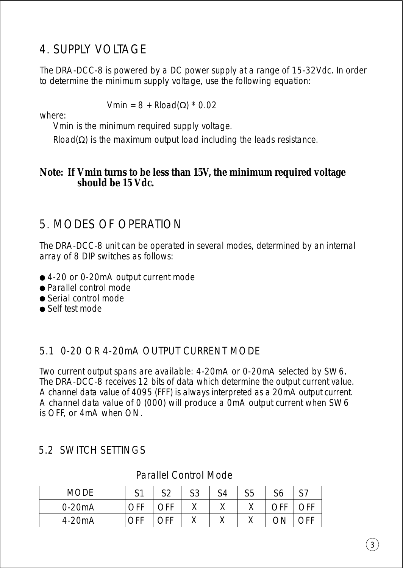## 4. SUPPLY VOLTAGE

The DRA-DCC-8 is powered by a DC power supply at a range of 15-32Vdc. In order to determine the minimum supply voltage, use the following equation:

Vmin = 8 + Rload(Ω) \* 0.02

where:

Vmin is the minimum required supply voltage.

Rload( $\Omega$ ) is the maximum output load including the leads resistance.

**Note: If Vmin turns to be less than 15V, the minimum required voltage should be 15 Vdc.**

## 5. MODES OF OPERATION

The DRA-DCC-8 unit can be operated in several modes, determined by an internal array of 8 DIP switches as follows:

- 4-20 or 0-20mA output current mode
- Parallel control mode
- Serial control mode
- Self test mode

### 5.1 0-20 OR 4-20mA OUTPUT CURRENT MODE

Two current output spans are available: 4-20mA or 0-20mA selected by SW6. The DRA-DCC-8 receives 12 bits of data which determine the output current value. A channel data value of 4095 (FFF) is always interpreted as a 20mA output current. A channel data value of 0 (000) will produce a 0mA output current when SW6 is OFF, or 4mA when ON.

### 5.2 SWITCH SETTINGS

Parallel Control Mode

| MODE     | C <sub>1</sub><br>ີ | ぐっ  | S3 | S4        | S5       | $\sim$<br>SО | S7 |
|----------|---------------------|-----|----|-----------|----------|--------------|----|
| $0-20mA$ | <b>JFF</b>          | OFF |    | $\lambda$ | $\cdots$ | ∩FF          |    |
| 4-20mA   | <b>OFF</b>          | ገርር |    | $\lambda$ |          | ΟN           |    |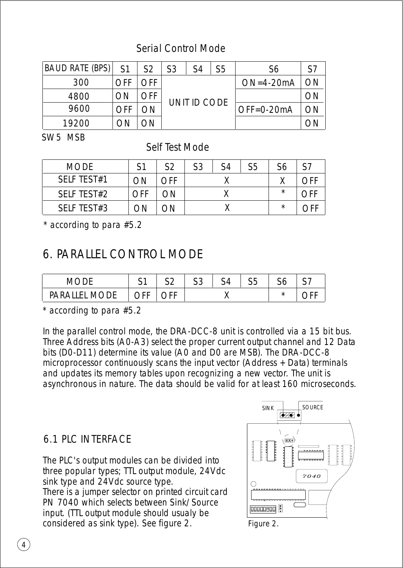### Serial Control Mode

| <b>BAUD RATE (BPS)</b> | S <sub>1</sub> | S <sub>2</sub> | S <sub>3</sub> | S4 | S5 | S6             |    |
|------------------------|----------------|----------------|----------------|----|----|----------------|----|
| 300                    | OFF            | <b>DFF</b>     |                |    |    | $ON=4-20mA$    | nО |
| 4800                   | ΟN             |                | UNIT ID CODE   |    |    |                |    |
| 9600                   | OFF            | ΟN             |                |    |    | $OFF = 0-20mA$ | OΝ |
| 19200                  |                |                |                |    |    |                |    |

SW5 MSB

Self Test Mode

| <b>MODE</b> | S1  | S <sub>2</sub> | S <sub>3</sub> | S <sub>4</sub> | S5 | S6      | S7  |
|-------------|-----|----------------|----------------|----------------|----|---------|-----|
| SELF TEST#1 | OΝ  | OFF            |                |                |    |         | ∩FF |
| SELF TEST#2 | OFF | OΝ             |                |                |    | $\star$ | OFF |
| SELF TEST#3 | ΩN  | ΟN             |                |                |    | $\star$ |     |

\* according to para #5.2

## 6. PARALLEL CONTROL MODE

|                                | ົ<br>$\cdot$ | $\sim$ | $\sim$ $\sim$<br>ັບ | $\sim$ $-$<br>ررد | . . | $\sim$ $\sim$ |
|--------------------------------|--------------|--------|---------------------|-------------------|-----|---------------|
| <b>DADAILEL</b><br><b>MODE</b> | , н          |        |                     |                   |     |               |

\* according to para #5.2

In the parallel control mode, the DRA-DCC-8 unit is controlled via a 15 bit bus. Three Address bits (A0-A3) select the proper current output channel and 12 Data bits (D0-D11) determine its value (A0 and D0 are MSB). The DRA-DCC-8 microprocessor continuously scans the input vector (Address + Data) terminals and updates its memory tables upon recognizing a new vector. The unit is asynchronous in nature. The data should be valid for at least 160 microseconds.

### 6.1 PLC INTERFACE

The PLC's output modules can be divided into three popular types; TTL output module, 24Vdc sink type and 24Vdc source type. There is a jumper selector on printed circuit card PN 7040 which selects between Sink/Source input. (TTL output module should usualy be considered as sink type). See figure 2.



Figure 2.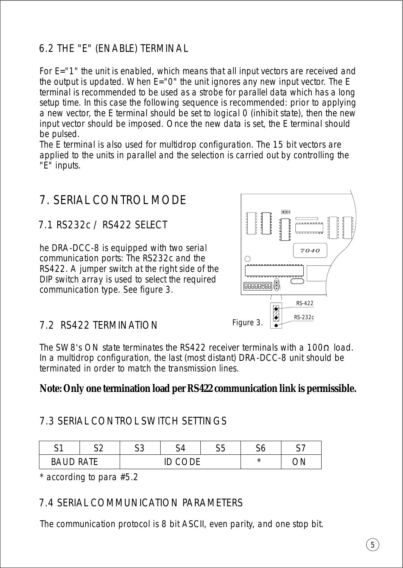## 6.2 THE "E" (ENABLE) TERMINAL

For E="1" the unit is enabled, which means that all input vectors are received and the output is updated. When E="0" the unit ignores any new input vector. The E terminal is recommended to be used as a strobe for parallel data which has a long setup time. In this case the following sequence is recommended: prior to applying a new vector, the E terminal should be set to logical 0 (inhibit state), then the new input vector should be imposed. Once the new data is set, the E terminal should be pulsed.

The E terminal is also used for multidrop configuration. The 15 bit vectors are applied to the units in parallel and the selection is carried out by controlling the "E" inputs.

## 7. SERIAL CONTROL MODE

### 7.1 RS232c / RS422 SELECT

he DRA-DCC-8 is equipped with two serial communication ports: The RS232c and the RS422. A jumper switch at the right side of the DIP switch array is used to select the required communication type. See figure 3.



### 7.2 RS422 TERMINATION

The SW8's ON state terminates the RS422 receiver terminals with a 100 $\Omega$  load. In a multidrop configuration, the last (most distant) DRA-DCC-8 unit should be terminated in order to match the transmission lines.

**Note: Only one termination load per RS422 communication link is permissible.**

### 7.3 SERIAL CONTROL SWITCH SETTINGS

| ົ<br> | $\sim$ | $\sim$ $\sim$<br>. | $\cdot$ | $\sim$ $\sim$<br>نڌن | ⌒<br>$\cdot$ |  |
|-------|--------|--------------------|---------|----------------------|--------------|--|
|       |        |                    |         |                      |              |  |

\* according to para #5.2

#### 7.4 SERIAL COMMUNICATION PARAMETERS

The communication protocol is 8 bit ASCII, even parity, and one stop bit.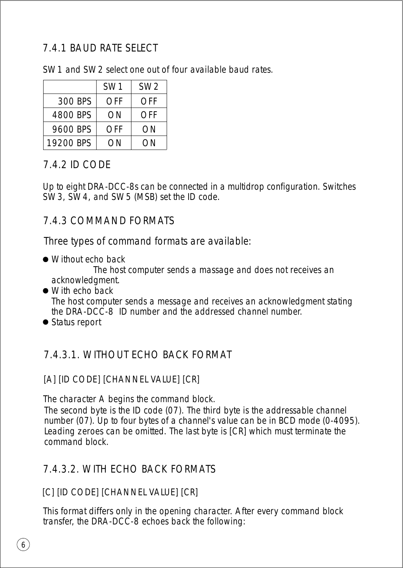### 7.4.1 BAUD RATE SELECT

SW1 and SW2 select one out of four available baud rates.

|           | SW <sub>1</sub> | SW <sub>2</sub> |
|-----------|-----------------|-----------------|
| 300 BPS   | OFF             | OFF             |
| 4800 BPS  | OΝ              | OFF             |
| 9600 BPS  | OFF             | ON              |
| 19200 BPS | ΩN              | OΝ              |

### 7.4.2 ID CODE

Up to eight DRA-DCC-8s can be connected in a multidrop configuration. Switches SW3, SW4, and SW5 (MSB) set the ID code.

### 7.4.3 COMMAND FORMATS

Three types of command formats are available:

● Without echo back

The host computer sends a massage and does not receives an acknowledgment.

- With echo back The host computer sends a message and receives an acknowledgment stating the DRA-DCC-8 ID number and the addressed channel number.
- Status report

## 7.4.3.1. WITHOUT ECHO BACK FORMAT

### [A] [ID CODE] [CHANNEL VALUE] [CR]

The character A begins the command block.

The second byte is the ID code (07). The third byte is the addressable channel number (07). Up to four bytes of a channel's value can be in BCD mode (0-4095). Leading zeroes can be omitted. The last byte is [CR] which must terminate the command block.

## 7.4.3.2. WITH ECHO BACK FORMATS

### [C] [ID CODE] [CHANNEL VALUE] [CR]

This format differs only in the opening character. After every command block transfer, the DRA-DCC-8 echoes back the following: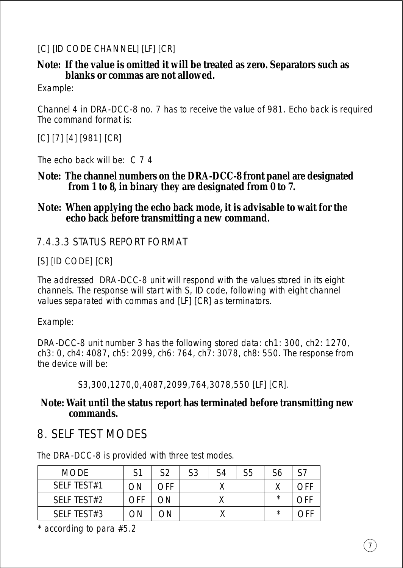#### [C] [ID CODE CHANNEL] [LF] [CR]

**Note: If the value is omitted it will be treated as zero. Separators such as blanks or commas are not allowed.**

Example:

Channel 4 in DRA-DCC-8 no. 7 has to receive the value of 981. Echo back is required The command format is:

[C] [7] [4] [981] [CR]

The echo back will be: C 7 4

- **Note: The channel numbers on the DRA-DCC-8 front panel are designated from 1 to 8, in binary they are designated from 0 to 7.**
- **Note: When applying the echo back mode, it is advisable to wait for the echo back before transmitting a new command.**

#### 7.4.3.3 STATUS REPORT FORMAT

[S] [ID CODE] [CR]

The addressed DRA-DCC-8 unit will respond with the values stored in its eight channels. The response will start with S, ID code, following with eight channel values separated with commas and [LF] [CR] as terminators.

Example:

DRA-DCC-8 unit number 3 has the following stored data: ch1: 300, ch2: 1270, ch3: 0, ch4: 4087, ch5: 2099, ch6: 764, ch7: 3078, ch8: 550. The response from the device will be:

S3,300,1270,0,4087,2099,764,3078,550 [LF] [CR].

**Note: Wait until the status report has terminated before transmitting new commands.**

## 8. SELF TEST MODES

The DRA-DCC-8 is provided with three test modes.

| <b>MODE</b> | S1  | S <sub>2</sub> | S3 | S4 | S5 | S <sub>6</sub> | S7  |
|-------------|-----|----------------|----|----|----|----------------|-----|
| SFIF TFST#1 | ΟN  | $\cap$ FF      |    |    |    |                | nff |
| SELF TEST#2 | OFF | ΟN             |    |    |    | $\star$        | ำ⊩  |
| SELF TEST#3 | λN  | ЭN             |    |    |    | $\star$        |     |

\* according to para #5.2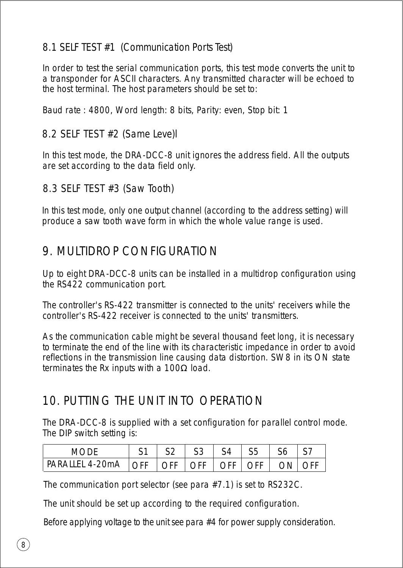### 8.1 SELF TEST #1 (Communication Ports Test)

In order to test the serial communication ports, this test mode converts the unit to a transponder for ASCII characters. Any transmitted character will be echoed to the host terminal. The host parameters should be set to:

Baud rate : 4800, Word length: 8 bits, Parity: even, Stop bit: 1

#### 8.2 SELF TEST #2 (Same Leve)l

In this test mode, the DRA-DCC-8 unit ignores the address field. All the outputs are set according to the data field only.

#### 8.3 SELF TEST #3 (Saw Tooth)

In this test mode, only one output channel (according to the address setting) will produce a saw tooth wave form in which the whole value range is used.

## 9. MULTIDROP CONFIGURATION

Up to eight DRA-DCC-8 units can be installed in a multidrop configuration using the RS422 communication port.

The controller's RS-422 transmitter is connected to the units' receivers while the controller's RS-422 receiver is connected to the units' transmitters.

As the communication cable might be several thousand feet long, it is necessary to terminate the end of the line with its characteristic impedance in order to avoid reflections in the transmission line causing data distortion. SW8 in its ON state terminates the Rx inputs with a  $100Ω$  load.

## 10. PUTTING THE UNIT INTO OPERATION

The DRA-DCC-8 is supplied with a set configuration for parallel control mode. The DIP switch setting is:

| MODE                                          |  | S4 | S5 |      |     |
|-----------------------------------------------|--|----|----|------|-----|
| PARALLEL 4-20mA   OFF   OFF   OFF   OFF   OFF |  |    |    | ON I | OEE |

The communication port selector (see para #7.1) is set to RS232C.

The unit should be set up according to the required configuration.

Before applying voltage to the unit see para #4 for power supply consideration.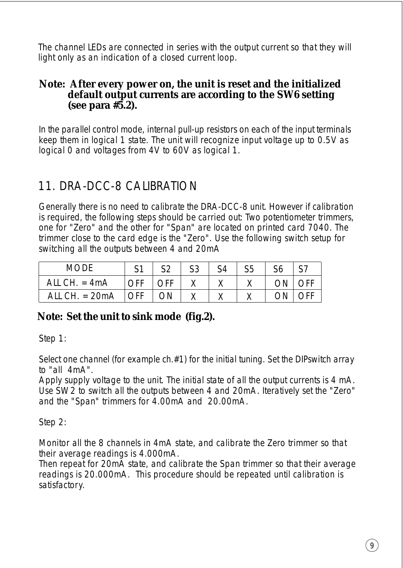The channel LEDs are connected in series with the output current so that they will light only as an indication of a closed current loop.

#### **Note: After every power on, the unit is reset and the initialized default output currents are according to the SW6 setting (see para #5.2).**

In the parallel control mode, internal pull-up resistors on each of the input terminals keep them in logical 1 state. The unit will recognize input voltage up to 0.5V as logical 0 and voltages from 4V to 60V as logical 1.

## 11. DRA-DCC-8 CALIBRATION

Generally there is no need to calibrate the DRA-DCC-8 unit. However if calibration is required, the following steps should be carried out: Two potentiometer trimmers, one for "Zero" and the other for "Span" are located on printed card 7040. The trimmer close to the card edge is the "Zero". Use the following switch setup for switching all the outputs between 4 and 20mA

| <b>MODE</b>      |            | <b>C2</b> | S3 | S4 | S5 | S6   | S7  |
|------------------|------------|-----------|----|----|----|------|-----|
| ALL CH. $=$ 4mA  | <b>OFF</b> | OFF       |    |    |    | ON I | OFF |
| ALL CH. $= 20mA$ | l OFF      | ON        |    |    |    | OΝ   | ∩FF |

#### **Note: Set the unit to sink mode (fig.2).**

Step 1:

Select one channel (for example ch.#1) for the initial tuning. Set the DIPswitch array to "all 4mA".

Apply supply voltage to the unit. The initial state of all the output currents is 4 mA. Use SW2 to switch all the outputs between 4 and 20mA. Iteratively set the "Zero" and the "Span" trimmers for 4.00mA and 20.00mA.

Step 2:

Monitor all the 8 channels in 4mA state, and calibrate the Zero trimmer so that their average readings is 4.000mA.

Then repeat for 20mA state, and calibrate the Span trimmer so that their average readings is 20.000mA. This procedure should be repeated until calibration is satisfactory.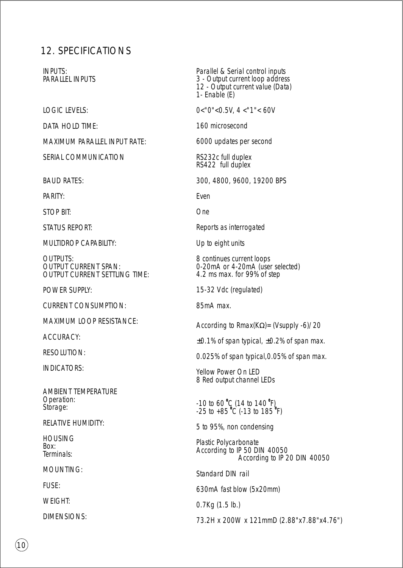#### 12. SPECIFICATIONS

INPUTS: PARALLEL INPUTS

LOGIC LEVELS:

DATA HOLD TIME:

MAXIMUM PARALLEL INPUT RATE:

SERIAL COMMUNICATION

BAUD RATES:

PARITY:

STOP BIT:

STATUS REPORT:

MULTIDROP CAPABILITY:

OUTPUTS: OUTPUT CURRENT SPAN: OUTPUT CURRENT SETTLING TIME:

POWER SUPPLY:

CURRENT CONSUMPTION:

MAXIMUM LOOP RESISTANCE:

ACCURACY:

**RESOLUTION:** 

INDICATORS:

AMBIENT TEMPERATURE Operation: Storage:

RELATIVE HUMIDITY:

**HOUSING** Box: Terminals:

MOUNTING:

FUSE:

WEIGHT:

DIMENSIONS:

Parallel & Serial control inputs 3 - Output current loop address 12 - Output current value (Data) 1- Enable (E)

0<"0"<0.5V, 4 <"1"< 60V

160 microsecond

6000 updates per second

RS232c full duplex RS422 full duplex

300, 4800, 9600, 19200 BPS

Even

One

Reports as interrogated

Up to eight units

8 continues current loops 0-20mA or 4-20mA (user selected) 4.2 ms max. for 99% of step

15-32 Vdc (regulated)

85mA max.

According to Rmax(KΩ)= (Vsupply -6)/20

 $\pm$ 0.1% of span typical,  $\pm$ 0.2% of span max.

0.025% of span typical,0.05% of span max.

Yellow Power On LED 8 Red output channel LEDs

-10 to 60 °C (14 to 140 °F)<br>-25 to +85 °C (-13 to 185 °F)

5 to 95%, non condensing

Plastic Polycarbonate According to IP 50 DIN 40050 According to IP 20 DIN 40050

Standard DIN rail

630mA fast blow (5x20mm)

0.7Kg (1.5 lb.)

73.2H x 200W x 121mmD (2.88"x7.88"x4.76")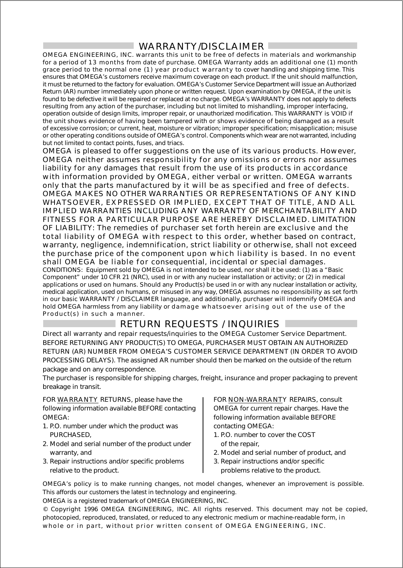#### WARRANTY/DISCLAIMER

OMEGA ENGINEERING, INC. warrants this unit to be free of defects in materials and workmanship for a period of 13 months from date of purchase. OMEGA Warranty adds an additional one (1) month grace period to the normal one (1) year product warranty to cover handling and shipping time. This ensures that OMEGA's customers receive maximum coverage on each product. If the unit should malfunction, it must be returned to the factory for evaluation. OMEGA's Customer Service Department will issue an Authorized Return (AR) number immediately upon phone or written request. Upon examination by OMEGA, if the unit is found to be defective it will be repaired or replaced at no charge. OMEGA's WARRANTY does not apply to defects resulting from any action of the purchaser, including but not limited to mishandling, improper interfacing, operation outside of design limits, improper repair, or unauthorized modification. This WARRANTY is VOID if the unit shows evidence of having been tampered with or shows evidence of being damaged as a result of excessive corrosion; or current, heat, moisture or vibration; improper specification; misapplication; misuse or other operating conditions outside of OMEGA's control. Components which wear are not warranted, including but not limited to contact points, fuses, and triacs.

OMEGA is pleased to offer suggestions on the use of its various products. However, OMEGA neither assumes responsibility for any omissions or errors nor assumes liability for any damages that result from the use of its products in accordance with information provided by OMEGA, either verbal or written. OMEGA warrants only that the parts manufactured by it will be as specified and free of defects. OMEGA MAKES NO OTHER WARRANTIES OR REPRESENTATIONS OF ANY KIND WHATSOEVER, EXPRESSED OR IMPLIED, EXCEPT THAT OF TITLE, AND ALL IMPLIED WARRANTIES INCLUDING ANY WARRANTY OF MERCHANTABILITY AND FITNESS FOR A PARTICULAR PURPOSE ARE HEREBY DISCLAIMED. LIMITATION OF LIABILITY: The remedies of purchaser set forth herein are exclusive and the total liability of OMEGA with respect to this order, whether based on contract, warranty, negligence, indemnification, strict liability or otherwise, shall not exceed the purchase price of the component upon which liability is based. In no event shall OMEGA be liable for consequential, incidental or special damages. CONDITIONS: Equipment sold by OMEGA is not intended to be used, nor shall it be used: (1) as a "Basic Component" under 10 CFR 21 (NRC), used in or with any nuclear installation or activity; or (2) in medical applications or used on humans. Should any Product(s) be used in or with any nuclear installation or activity, medical application, used on humans, or misused in any way, OMEGA assumes no responsibility as set forth in our basic WARRANTY / DISCLAIMER language, and additionally, purchaser will indemnify OMEGA and hold OMEGA harmless from any liability or damage whatsoever arising out of the use of the Product(s) in such a manner.

#### RETURN REQUESTS / INQUIRIES

Direct all warranty and repair requests/inquiries to the OMEGA Customer Service Department. BEFORE RETURNING ANY PRODUCT(S) TO OMEGA, PURCHASER MUST OBTAIN AN AUTHORIZED RETURN (AR) NUMBER FROM OMEGA'S CUSTOMER SERVICE DEPARTMENT (IN ORDER TO AVOID PROCESSING DELAYS). The assigned AR number should then be marked on the outside of the return package and on any correspondence.

The purchaser is responsible for shipping charges, freight, insurance and proper packaging to prevent breakage in transit.

FOR WARRANTY RETURNS, please have the following information available BEFORE contacting OMEGA:

- 1. P.O. number under which the product was PURCHASED,
- 2. Model and serial number of the product under warranty, and
- 3. Repair instructions and/or specific problems relative to the product.

FOR NON-WARRANTY REPAIRS, consult OMEGA for current repair charges. Have the following information available BEFORE contacting OMEGA:

- 1. P.O. number to cover the COST of the repair,
- 2. Model and serial number of product, and
- 3. Repair instructions and/or specific problems relative to the product.

OMEGA's policy is to make running changes, not model changes, whenever an improvement is possible. This affords our customers the latest in technology and engineering.

OMEGA is a registered trademark of OMEGA ENGINEERING, INC.

© Copyright 1996 OMEGA ENGINEERING, INC. All rights reserved. This document may not be copied, photocopied, reproduced, translated, or reduced to any electronic medium or machine-readable form, i n whole or in part, without prior written consent of OMEGA ENGINEERING, INC.